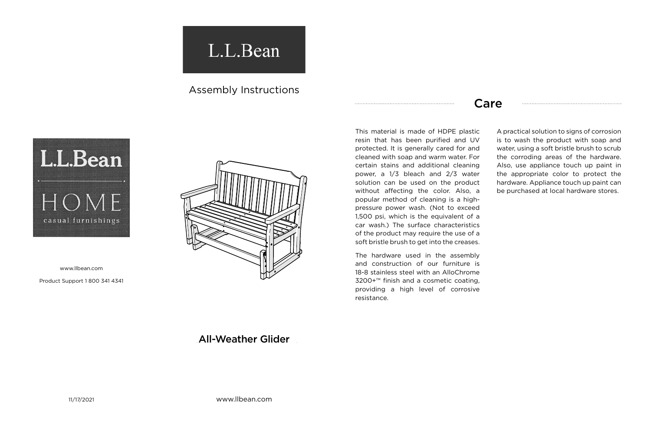11/17/2021 www.llbean.com

www.llbean.com

Product Support 1 800 341 4341



## **All-Weather Glider**

## Care

This material is made of HDPE plastic resin that has been purified and UV protected. It is generally cared for and cleaned with soap and warm water. For certain stains and additional cleaning power, a 1/3 bleach and 2/3 water solution can be used on the product without affecting the color. Also, a popular method of cleaning is a highpressure power wash. (Not to exceed 1,500 psi, which is the equivalent of a car wash.) The surface characteristics of the product may require the use of a soft bristle brush to get into the creases.

The hardware used in the assembly and construction of our furniture is 18-8 stainless steel with an AlloChrome 3200+™ finish and a cosmetic coating, providing a high level of corrosive resistance.

A practical solution to signs of corrosion is to wash the product with soap and water, using a soft bristle brush to scrub the corroding areas of the hardware. Also, use appliance touch up paint in the appropriate color to protect the hardware. Appliance touch up paint can be purchased at local hardware stores.

## L.L.Bean

## Assembly Instructions